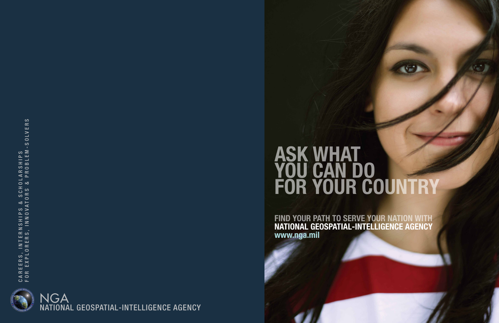# ASK WHAT YOU CAN DO FOR YOUR COUNTRY

FIND YOUR PATH TO SERVE YOUR NATION WITH NATIONAL GEOSPATIAL-INTELLIGENCE AGENCY www.nga.mil



NATIONAL GEOSPATIAL-INTELLIGENCE AGENCY NGA